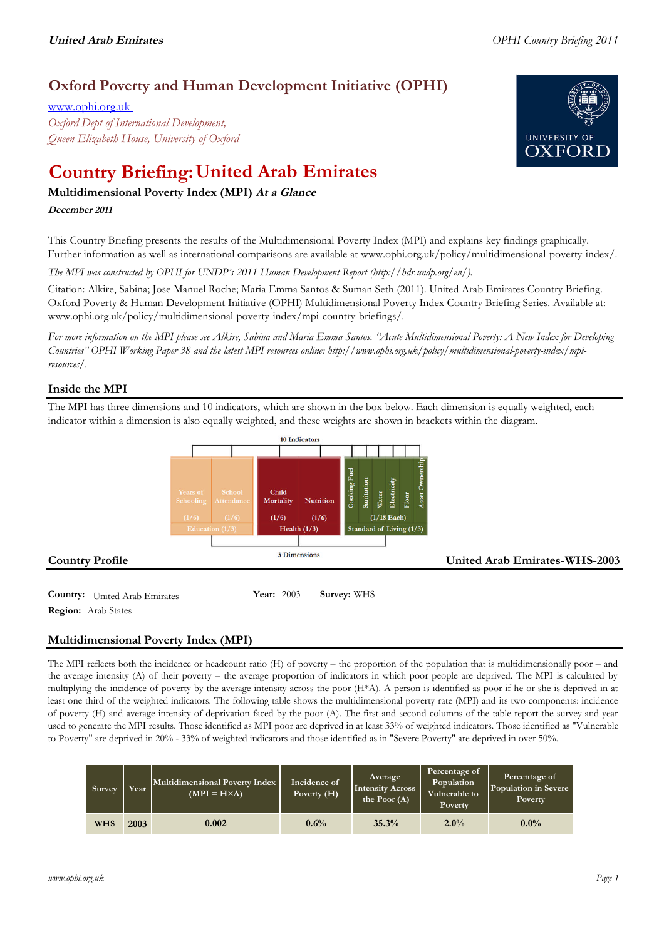# **Oxford Poverty and Human Development Initiative (OPHI)**

www.ophi.org.uk *Oxford Dept of International Development, Queen Elizabeth House, University of Oxford*

# **Country Briefing: United Arab Emirates**

# **Multidimensional Poverty Index (MPI) At <sup>a</sup> Glance**

### **December <sup>2011</sup>**

This Country Briefing presents the results of the Multidimensional Poverty Index (MPI) and explains key findings graphically. Further information as well as international comparisons are available at www.ophi.org.uk/policy/multidimensional-poverty-index/.

*The MPI was constructed by OPHI for UNDP's 2011 Human Development Report (http://hdr.undp.org/en/).*

Citation: Alkire, Sabina; Jose Manuel Roche; Maria Emma Santos & Suman Seth (2011). United Arab Emirates Country Briefing. Oxford Poverty & Human Development Initiative (OPHI) Multidimensional Poverty Index Country Briefing Series. Available at: www.ophi.org.uk/policy/multidimensional-poverty-index/mpi-country-briefings/.

*For more information on the MPI please see Alkire, Sabina and Maria Emma Santos. "Acute Multidimensional Poverty: A New Index for Developing Countries" OPHI Working Paper 38 and the latest MPI resources online: http://www.ophi.org.uk/policy/multidimensional-poverty-index/mpiresources/.*

# **Inside the MPI**

The MPI has three dimensions and 10 indicators, which are shown in the box below. Each dimension is equally weighted, each indicator within a dimension is also equally weighted, and these weights are shown in brackets within the diagram.



**Country:** United Arab Emirates 10203 **Survey:** WHS **Region:** Arab States

# **Multidimensional Poverty Index (MPI)**

The MPI reflects both the incidence or headcount ratio (H) of poverty – the proportion of the population that is multidimensionally poor – and the average intensity (A) of their poverty – the average proportion of indicators in which poor people are deprived. The MPI is calculated by multiplying the incidence of poverty by the average intensity across the poor (H\*A). A person is identified as poor if he or she is deprived in at least one third of the weighted indicators. The following table shows the multidimensional poverty rate (MPI) and its two components: incidence of poverty (H) and average intensity of deprivation faced by the poor (A). The first and second columns of the table report the survey and year used to generate the MPI results. Those identified as MPI poor are deprived in at least 33% of weighted indicators. Those identified as "Vulnerable to Poverty" are deprived in 20% - 33% of weighted indicators and those identified as in "Severe Poverty" are deprived in over 50%.

| Survey     | Year | Multidimensional Poverty Index<br>$(MPI = H \times A)$ | Incidence of<br>Poverty (H) | <b>Average</b><br><b>Intensity Across</b><br>the Poor $(A)$ | Percentage of<br>Population<br>Vulnerable to<br>Poverty | Percentage of<br>Population in Severe<br><b>Poverty</b> |
|------------|------|--------------------------------------------------------|-----------------------------|-------------------------------------------------------------|---------------------------------------------------------|---------------------------------------------------------|
| <b>WHS</b> | 2003 | 0.002                                                  | 0.6%                        | 35.3%                                                       | 2.0%                                                    | $0.0\%$                                                 |

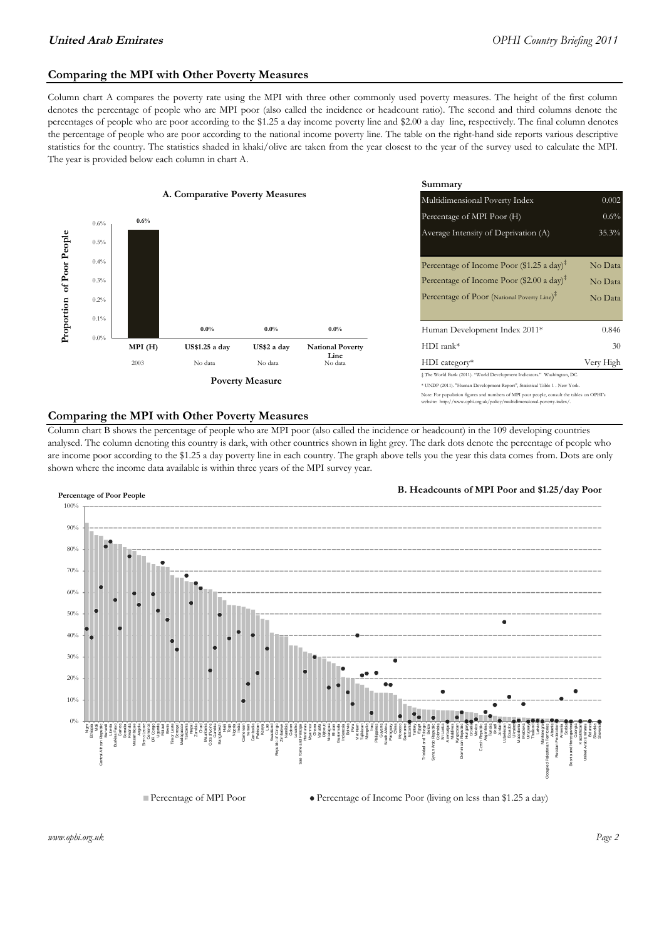### **Comparing the MPI with Other Poverty Measures**

Column chart A compares the poverty rate using the MPI with three other commonly used poverty measures. The height of the first column denotes the percentage of people who are MPI poor (also called the incidence or headcount ratio). The second and third columns denote the percentages of people who are poor according to the \$1.25 a day income poverty line and \$2.00 a day line, respectively. The final column denotes the percentage of people who are poor according to the national income poverty line. The table on the right-hand side reports various descriptive statistics for the country. The statistics shaded in khaki/olive are taken from the year closest to the year of the survey used to calculate the MPI. The year is provided below each column in chart A.



#### **Comparing the MPI with Other Poverty Measures**

Column chart B shows the percentage of people who are MPI poor (also called the incidence or headcount) in the 109 developing countries analysed. The column denoting this country is dark, with other countries shown in light grey. The dark dots denote the percentage of people who are income poor according to the \$1.25 a day poverty line in each country. The graph above tells you the year this data comes from. Dots are only shown where the income data available is within three years of the MPI survey year.



**B. Headcounts of MPI Poor and \$1.25/day Poor**



 $\bullet$  Percentage of Income Poor (living on less than \$1.25 a day)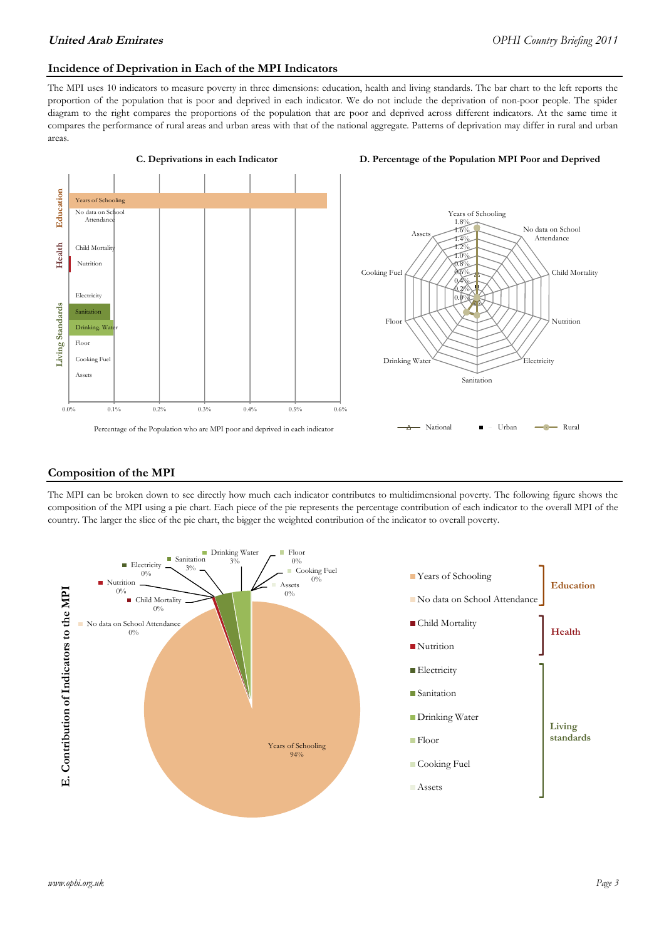### **Incidence of Deprivation in Each of the MPI Indicators**

The MPI uses 10 indicators to measure poverty in three dimensions: education, health and living standards. The bar chart to the left reports the proportion of the population that is poor and deprived in each indicator. We do not include the deprivation of non-poor people. The spider diagram to the right compares the proportions of the population that are poor and deprived across different indicators. At the same time it compares the performance of rural areas and urban areas with that of the national aggregate. Patterns of deprivation may differ in rural and urban areas.



#### **Composition of the MPI**

The MPI can be broken down to see directly how much each indicator contributes to multidimensional poverty. The following figure shows the composition of the MPI using a pie chart. Each piece of the pie represents the percentage contribution of each indicator to the overall MPI of the country. The larger the slice of the pie chart, the bigger the weighted contribution of the indicator to overall poverty.